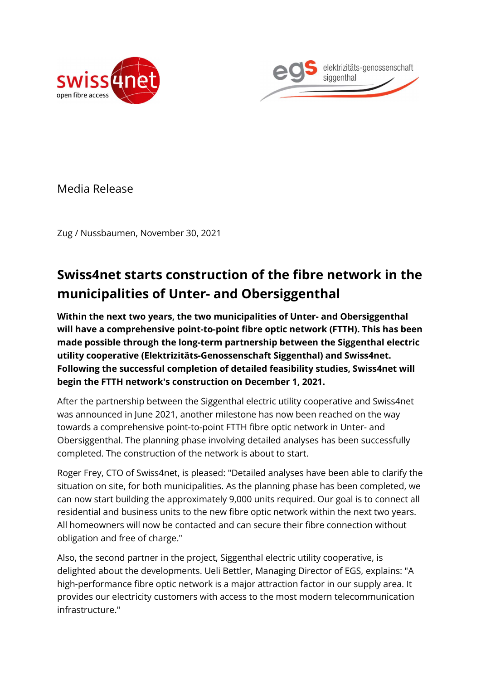



Media Release

Zug / Nussbaumen, November 30, 2021

# Swiss4net starts construction of the fibre network in the municipalities of Unter- and Obersiggenthal

Within the next two years, the two municipalities of Unter- and Obersiggenthal will have a comprehensive point-to-point fibre optic network (FTTH). This has been made possible through the long-term partnership between the Siggenthal electric utility cooperative (Elektrizitäts-Genossenschaft Siggenthal) and Swiss4net. Following the successful completion of detailed feasibility studies, Swiss4net will begin the FTTH network's construction on December 1, 2021.

After the partnership between the Siggenthal electric utility cooperative and Swiss4net was announced in June 2021, another milestone has now been reached on the way towards a comprehensive point-to-point FTTH fibre optic network in Unter- and Obersiggenthal. The planning phase involving detailed analyses has been successfully completed. The construction of the network is about to start.

Roger Frey, CTO of Swiss4net, is pleased: "Detailed analyses have been able to clarify the situation on site, for both municipalities. As the planning phase has been completed, we can now start building the approximately 9,000 units required. Our goal is to connect all residential and business units to the new fibre optic network within the next two years. All homeowners will now be contacted and can secure their fibre connection without obligation and free of charge."

Also, the second partner in the project, Siggenthal electric utility cooperative, is delighted about the developments. Ueli Bettler, Managing Director of EGS, explains: "A high-performance fibre optic network is a major attraction factor in our supply area. It provides our electricity customers with access to the most modern telecommunication infrastructure."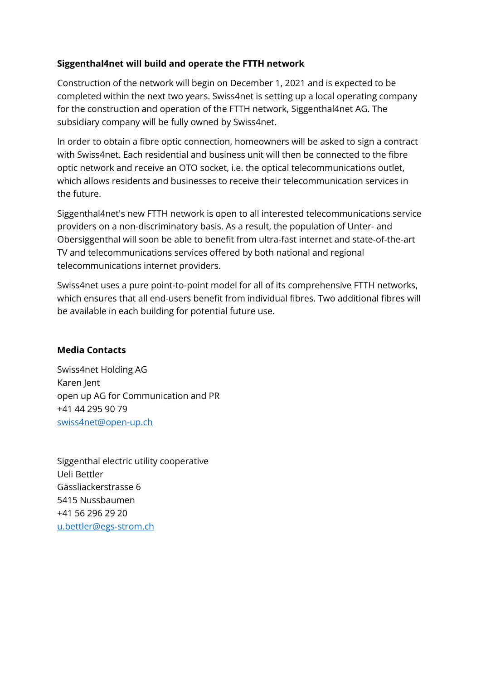### Siggenthal4net will build and operate the FTTH network

Construction of the network will begin on December 1, 2021 and is expected to be completed within the next two years. Swiss4net is setting up a local operating company for the construction and operation of the FTTH network, Siggenthal4net AG. The subsidiary company will be fully owned by Swiss4net.

In order to obtain a fibre optic connection, homeowners will be asked to sign a contract with Swiss4net. Each residential and business unit will then be connected to the fibre optic network and receive an OTO socket, i.e. the optical telecommunications outlet, which allows residents and businesses to receive their telecommunication services in the future.

Siggenthal4net's new FTTH network is open to all interested telecommunications service providers on a non-discriminatory basis. As a result, the population of Unter- and Obersiggenthal will soon be able to benefit from ultra-fast internet and state-of-the-art TV and telecommunications services offered by both national and regional telecommunications internet providers.

Swiss4net uses a pure point-to-point model for all of its comprehensive FTTH networks, which ensures that all end-users benefit from individual fibres. Two additional fibres will be available in each building for potential future use.

#### Media Contacts

Swiss4net Holding AG Karen Jent open up AG for Communication and PR +41 44 295 90 79 swiss4net@open-up.ch

Siggenthal electric utility cooperative Ueli Bettler Gässliackerstrasse 6 5415 Nussbaumen +41 56 296 29 20 u.bettler@egs-strom.ch